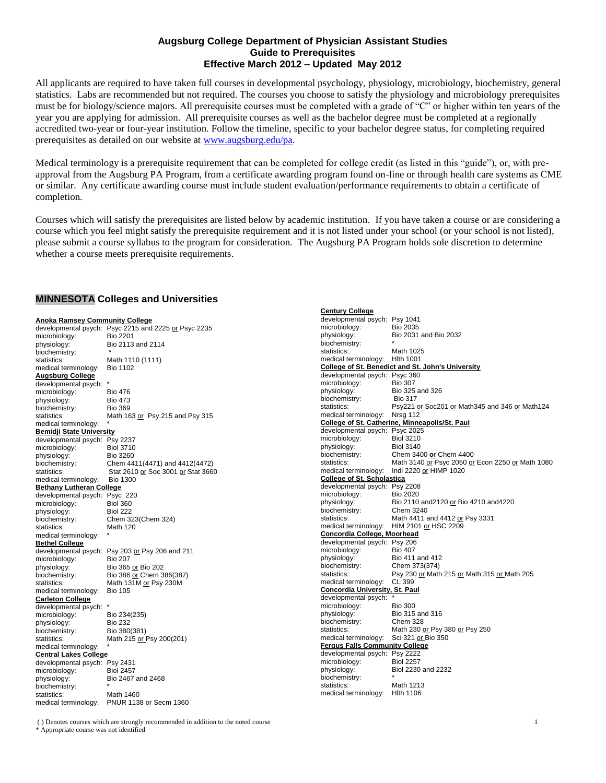## **Augsburg College Department of Physician Assistant Studies Guide to Prerequisites Effective March 2012 – Updated May 2012**

All applicants are required to have taken full courses in developmental psychology, physiology, microbiology, biochemistry, general statistics. Labs are recommended but not required. The courses you choose to satisfy the physiology and microbiology prerequisites must be for biology/science majors. All prerequisite courses must be completed with a grade of "C" or higher within ten years of the year you are applying for admission. All prerequisite courses as well as the bachelor degree must be completed at a regionally accredited two-year or four-year institution. Follow the timeline, specific to your bachelor degree status, for completing required prerequisites as detailed on our website at [www.augsburg.edu/pa.](http://www.augsburg.edu/pa)

Medical terminology is a prerequisite requirement that can be completed for college credit (as listed in this "guide"), or, with preapproval from the Augsburg PA Program, from a certificate awarding program found on-line or through health care systems as CME or similar. Any certificate awarding course must include student evaluation/performance requirements to obtain a certificate of completion.

Courses which will satisfy the prerequisites are listed below by academic institution. If you have taken a course or are considering a course which you feel might satisfy the prerequisite requirement and it is not listed under your school (or your school is not listed), please submit a course syllabus to the program for consideration. The Augsburg PA Program holds sole discretion to determine whether a course meets prerequisite requirements.

# **MINNESOTA Colleges and Universities**

| <b>Anoka Ramsey Community College</b> |                                                      | developmental psy                  |
|---------------------------------------|------------------------------------------------------|------------------------------------|
|                                       | developmental psych: Psyc 2215 and 2225 or Psyc 2235 | microbiology:                      |
| microbiology:                         | <b>Bio 2201</b>                                      | physiology:                        |
| physiology:                           | Bio 2113 and 2114                                    | biochemistry:                      |
| biochemistry:                         |                                                      | statistics:                        |
| statistics:                           | Math 1110 (1111)                                     | medical terminolog                 |
| medical terminology:                  | <b>Bio 1102</b>                                      | College of St. Ber                 |
| <b>Augsburg College</b>               |                                                      | developmental psy                  |
| developmental psych: *                |                                                      | microbiology:                      |
| microbiology:                         | <b>Bio 476</b>                                       | physiology:                        |
| physiology:                           | <b>Bio 473</b>                                       | biochemistry:                      |
| biochemistry:                         | <b>Bio 369</b>                                       | statistics:                        |
| statistics:                           | Math 163 or Psy 215 and Psy 315                      | medical terminolog                 |
| medical terminology:                  |                                                      | College of St. Cat                 |
| <b>Bemidji State University</b>       |                                                      | developmental psy                  |
| developmental psych: Psy 2237         |                                                      | microbiology:                      |
| microbiology:                         | <b>Biol 3710</b>                                     | physiology:                        |
| physiology:                           | <b>Bio 3260</b>                                      | biochemistry:                      |
| biochemistry:                         | Chem 4411(4471) and 4412(4472)                       | statistics:                        |
| statistics:                           | Stat 2610 or Soc 3001 or Stat 3660                   | medical terminolog                 |
| medical terminology:                  | <b>Bio 1300</b>                                      | College of St. Sch                 |
| <b>Bethany Lutheran College</b>       |                                                      | developmental psy                  |
| developmental psych: Psyc 220         |                                                      | microbiology:                      |
| microbiology:                         | <b>Biol 360</b>                                      | physiology:                        |
| physiology:                           | <b>Biol 222</b>                                      | biochemistry:                      |
| biochemistry:                         | Chem 323(Chem 324)                                   | statistics:                        |
| statistics:                           | Math 120                                             | medical terminolog                 |
| medical terminology:                  |                                                      | <b>Concordia Colleg</b>            |
| <b>Bethel College</b>                 |                                                      | developmental psy                  |
|                                       | developmental psych: Psy 203 or Psy 206 and 211      | microbiology:                      |
| microbiology:                         | <b>Bio 207</b>                                       | physiology:                        |
| physiology:                           | Bio 365 or Bio 202                                   | biochemistry:                      |
| biochemistry:                         | Bio 386 or Chem 386(387)                             | statistics:                        |
| statistics:                           | Math 131M or Psy 230M                                | medical terminolog                 |
| medical terminology:                  | <b>Bio 105</b>                                       | <b>Concordia Univer</b>            |
| <b>Carleton College</b>               |                                                      | developmental psy                  |
| developmental psych: *                |                                                      | microbiology:<br>physiology:       |
| microbiology:                         | Bio 234(235)                                         |                                    |
| physiology:                           | <b>Bio 232</b>                                       | biochemistry:<br>statistics:       |
| biochemistry:                         | Bio 380(381)                                         | medical terminolog                 |
| statistics:                           | Math 215 or Psy 200(201)                             | <b>Fergus Falls Com</b>            |
| medical terminology:                  |                                                      |                                    |
| <b>Central Lakes College</b>          |                                                      | developmental psy<br>microbiology: |
| developmental psych: Psy 2431         |                                                      | physiology:                        |
| microbiology:                         | <b>Biol 2457</b>                                     | biochemistry:                      |
| physiology:                           | Bio 2467 and 2468                                    | statistics:                        |
| biochemistry:                         |                                                      | medical terminolog                 |
| statistics:                           | Math 1460                                            |                                    |
| medical terminology:                  | PNUR 1138 or Secm 1360                               |                                    |

| developmental psych: Psy 1041<br><b>Bio 2035</b><br>microbiology:<br>physiology:<br>Bio 2031 and Bio 2032<br>biochemistry:<br>Math 1025<br>statistics:<br><b>Hith 1001</b><br>medical terminology:<br>College of St. Benedict and St. John's University<br>developmental psych: Psyc 360<br>microbiology:<br><b>Bio 307</b><br>physiology:<br>Bio 325 and 326<br>biochemistry:<br><b>Bio 317</b><br>statistics:<br>Psy221 <u>or</u> Soc201 <u>or</u> Math345 and 346 <u>or</u> Math124<br>medical terminology:<br>Nrsg 112<br>College of St. Catherine, Minneapolis/St. Paul<br>developmental psych: Psyc 2025<br><b>Biol 3210</b><br>microbiology:<br>physiology:<br><b>Biol 3140</b><br>biochemistry:<br>Chem 3400 or Chem 4400<br>Math 3140 or Psyc 2050 or Econ 2250 or Math 1080<br>statistics:<br>medical terminology:<br>Indi 2220 or HIMP 1020<br><b>College of St. Scholastica</b><br>developmental psych: Psy 2208<br>microbiology:<br>Bio 2020<br>physiology:<br>Bio 2110 and2120 or Bio 4210 and4220<br>Chem 3240<br>biochemistry:<br>statistics:<br>Math 4411 and 4412 or Psy 3331<br>HIM 2101 or HSC 2209<br>medical terminology:<br>Concordia College, Moorhead<br>developmental psych: Psy 206<br>microbiology:<br><b>Bio 407</b> |  |  |  |  |
|---------------------------------------------------------------------------------------------------------------------------------------------------------------------------------------------------------------------------------------------------------------------------------------------------------------------------------------------------------------------------------------------------------------------------------------------------------------------------------------------------------------------------------------------------------------------------------------------------------------------------------------------------------------------------------------------------------------------------------------------------------------------------------------------------------------------------------------------------------------------------------------------------------------------------------------------------------------------------------------------------------------------------------------------------------------------------------------------------------------------------------------------------------------------------------------------------------------------------------------------------|--|--|--|--|
|                                                                                                                                                                                                                                                                                                                                                                                                                                                                                                                                                                                                                                                                                                                                                                                                                                                                                                                                                                                                                                                                                                                                                                                                                                                   |  |  |  |  |
|                                                                                                                                                                                                                                                                                                                                                                                                                                                                                                                                                                                                                                                                                                                                                                                                                                                                                                                                                                                                                                                                                                                                                                                                                                                   |  |  |  |  |
|                                                                                                                                                                                                                                                                                                                                                                                                                                                                                                                                                                                                                                                                                                                                                                                                                                                                                                                                                                                                                                                                                                                                                                                                                                                   |  |  |  |  |
|                                                                                                                                                                                                                                                                                                                                                                                                                                                                                                                                                                                                                                                                                                                                                                                                                                                                                                                                                                                                                                                                                                                                                                                                                                                   |  |  |  |  |
|                                                                                                                                                                                                                                                                                                                                                                                                                                                                                                                                                                                                                                                                                                                                                                                                                                                                                                                                                                                                                                                                                                                                                                                                                                                   |  |  |  |  |
|                                                                                                                                                                                                                                                                                                                                                                                                                                                                                                                                                                                                                                                                                                                                                                                                                                                                                                                                                                                                                                                                                                                                                                                                                                                   |  |  |  |  |
|                                                                                                                                                                                                                                                                                                                                                                                                                                                                                                                                                                                                                                                                                                                                                                                                                                                                                                                                                                                                                                                                                                                                                                                                                                                   |  |  |  |  |
|                                                                                                                                                                                                                                                                                                                                                                                                                                                                                                                                                                                                                                                                                                                                                                                                                                                                                                                                                                                                                                                                                                                                                                                                                                                   |  |  |  |  |
|                                                                                                                                                                                                                                                                                                                                                                                                                                                                                                                                                                                                                                                                                                                                                                                                                                                                                                                                                                                                                                                                                                                                                                                                                                                   |  |  |  |  |
|                                                                                                                                                                                                                                                                                                                                                                                                                                                                                                                                                                                                                                                                                                                                                                                                                                                                                                                                                                                                                                                                                                                                                                                                                                                   |  |  |  |  |
|                                                                                                                                                                                                                                                                                                                                                                                                                                                                                                                                                                                                                                                                                                                                                                                                                                                                                                                                                                                                                                                                                                                                                                                                                                                   |  |  |  |  |
|                                                                                                                                                                                                                                                                                                                                                                                                                                                                                                                                                                                                                                                                                                                                                                                                                                                                                                                                                                                                                                                                                                                                                                                                                                                   |  |  |  |  |
|                                                                                                                                                                                                                                                                                                                                                                                                                                                                                                                                                                                                                                                                                                                                                                                                                                                                                                                                                                                                                                                                                                                                                                                                                                                   |  |  |  |  |
|                                                                                                                                                                                                                                                                                                                                                                                                                                                                                                                                                                                                                                                                                                                                                                                                                                                                                                                                                                                                                                                                                                                                                                                                                                                   |  |  |  |  |
|                                                                                                                                                                                                                                                                                                                                                                                                                                                                                                                                                                                                                                                                                                                                                                                                                                                                                                                                                                                                                                                                                                                                                                                                                                                   |  |  |  |  |
|                                                                                                                                                                                                                                                                                                                                                                                                                                                                                                                                                                                                                                                                                                                                                                                                                                                                                                                                                                                                                                                                                                                                                                                                                                                   |  |  |  |  |
|                                                                                                                                                                                                                                                                                                                                                                                                                                                                                                                                                                                                                                                                                                                                                                                                                                                                                                                                                                                                                                                                                                                                                                                                                                                   |  |  |  |  |
|                                                                                                                                                                                                                                                                                                                                                                                                                                                                                                                                                                                                                                                                                                                                                                                                                                                                                                                                                                                                                                                                                                                                                                                                                                                   |  |  |  |  |
|                                                                                                                                                                                                                                                                                                                                                                                                                                                                                                                                                                                                                                                                                                                                                                                                                                                                                                                                                                                                                                                                                                                                                                                                                                                   |  |  |  |  |
|                                                                                                                                                                                                                                                                                                                                                                                                                                                                                                                                                                                                                                                                                                                                                                                                                                                                                                                                                                                                                                                                                                                                                                                                                                                   |  |  |  |  |
|                                                                                                                                                                                                                                                                                                                                                                                                                                                                                                                                                                                                                                                                                                                                                                                                                                                                                                                                                                                                                                                                                                                                                                                                                                                   |  |  |  |  |
|                                                                                                                                                                                                                                                                                                                                                                                                                                                                                                                                                                                                                                                                                                                                                                                                                                                                                                                                                                                                                                                                                                                                                                                                                                                   |  |  |  |  |
|                                                                                                                                                                                                                                                                                                                                                                                                                                                                                                                                                                                                                                                                                                                                                                                                                                                                                                                                                                                                                                                                                                                                                                                                                                                   |  |  |  |  |
|                                                                                                                                                                                                                                                                                                                                                                                                                                                                                                                                                                                                                                                                                                                                                                                                                                                                                                                                                                                                                                                                                                                                                                                                                                                   |  |  |  |  |
|                                                                                                                                                                                                                                                                                                                                                                                                                                                                                                                                                                                                                                                                                                                                                                                                                                                                                                                                                                                                                                                                                                                                                                                                                                                   |  |  |  |  |
|                                                                                                                                                                                                                                                                                                                                                                                                                                                                                                                                                                                                                                                                                                                                                                                                                                                                                                                                                                                                                                                                                                                                                                                                                                                   |  |  |  |  |
|                                                                                                                                                                                                                                                                                                                                                                                                                                                                                                                                                                                                                                                                                                                                                                                                                                                                                                                                                                                                                                                                                                                                                                                                                                                   |  |  |  |  |
|                                                                                                                                                                                                                                                                                                                                                                                                                                                                                                                                                                                                                                                                                                                                                                                                                                                                                                                                                                                                                                                                                                                                                                                                                                                   |  |  |  |  |
|                                                                                                                                                                                                                                                                                                                                                                                                                                                                                                                                                                                                                                                                                                                                                                                                                                                                                                                                                                                                                                                                                                                                                                                                                                                   |  |  |  |  |
|                                                                                                                                                                                                                                                                                                                                                                                                                                                                                                                                                                                                                                                                                                                                                                                                                                                                                                                                                                                                                                                                                                                                                                                                                                                   |  |  |  |  |
| Bio 411 and 412<br>physiology:                                                                                                                                                                                                                                                                                                                                                                                                                                                                                                                                                                                                                                                                                                                                                                                                                                                                                                                                                                                                                                                                                                                                                                                                                    |  |  |  |  |
| biochemistry:<br>Chem 373(374)                                                                                                                                                                                                                                                                                                                                                                                                                                                                                                                                                                                                                                                                                                                                                                                                                                                                                                                                                                                                                                                                                                                                                                                                                    |  |  |  |  |
| statistics:<br>Psy 230 or Math 215 or Math 315 or Math 205                                                                                                                                                                                                                                                                                                                                                                                                                                                                                                                                                                                                                                                                                                                                                                                                                                                                                                                                                                                                                                                                                                                                                                                        |  |  |  |  |
| CL 399<br>medical terminology:                                                                                                                                                                                                                                                                                                                                                                                                                                                                                                                                                                                                                                                                                                                                                                                                                                                                                                                                                                                                                                                                                                                                                                                                                    |  |  |  |  |
| <b>Concordia University, St. Paul</b>                                                                                                                                                                                                                                                                                                                                                                                                                                                                                                                                                                                                                                                                                                                                                                                                                                                                                                                                                                                                                                                                                                                                                                                                             |  |  |  |  |
| developmental psych:                                                                                                                                                                                                                                                                                                                                                                                                                                                                                                                                                                                                                                                                                                                                                                                                                                                                                                                                                                                                                                                                                                                                                                                                                              |  |  |  |  |
| microbiology:<br><b>Bio 300</b>                                                                                                                                                                                                                                                                                                                                                                                                                                                                                                                                                                                                                                                                                                                                                                                                                                                                                                                                                                                                                                                                                                                                                                                                                   |  |  |  |  |
| physiology:<br>Bio 315 and 316                                                                                                                                                                                                                                                                                                                                                                                                                                                                                                                                                                                                                                                                                                                                                                                                                                                                                                                                                                                                                                                                                                                                                                                                                    |  |  |  |  |
| <b>Chem 328</b><br>biochemistry:                                                                                                                                                                                                                                                                                                                                                                                                                                                                                                                                                                                                                                                                                                                                                                                                                                                                                                                                                                                                                                                                                                                                                                                                                  |  |  |  |  |
| statistics:<br>Math 230 or Psy 380 or Psy 250                                                                                                                                                                                                                                                                                                                                                                                                                                                                                                                                                                                                                                                                                                                                                                                                                                                                                                                                                                                                                                                                                                                                                                                                     |  |  |  |  |
| medical terminology:<br>Sci 321 or Bio 350                                                                                                                                                                                                                                                                                                                                                                                                                                                                                                                                                                                                                                                                                                                                                                                                                                                                                                                                                                                                                                                                                                                                                                                                        |  |  |  |  |
| <b>Fergus Falls Community College</b>                                                                                                                                                                                                                                                                                                                                                                                                                                                                                                                                                                                                                                                                                                                                                                                                                                                                                                                                                                                                                                                                                                                                                                                                             |  |  |  |  |
| developmental psych: Psy 2222                                                                                                                                                                                                                                                                                                                                                                                                                                                                                                                                                                                                                                                                                                                                                                                                                                                                                                                                                                                                                                                                                                                                                                                                                     |  |  |  |  |
| microbiology:<br><b>Biol 2257</b>                                                                                                                                                                                                                                                                                                                                                                                                                                                                                                                                                                                                                                                                                                                                                                                                                                                                                                                                                                                                                                                                                                                                                                                                                 |  |  |  |  |
| Biol 2230 and 2232<br>physiology:                                                                                                                                                                                                                                                                                                                                                                                                                                                                                                                                                                                                                                                                                                                                                                                                                                                                                                                                                                                                                                                                                                                                                                                                                 |  |  |  |  |
| biochemistry:                                                                                                                                                                                                                                                                                                                                                                                                                                                                                                                                                                                                                                                                                                                                                                                                                                                                                                                                                                                                                                                                                                                                                                                                                                     |  |  |  |  |
| statistics:<br>Math 1213                                                                                                                                                                                                                                                                                                                                                                                                                                                                                                                                                                                                                                                                                                                                                                                                                                                                                                                                                                                                                                                                                                                                                                                                                          |  |  |  |  |
| medical terminology:<br><b>Hith 1106</b>                                                                                                                                                                                                                                                                                                                                                                                                                                                                                                                                                                                                                                                                                                                                                                                                                                                                                                                                                                                                                                                                                                                                                                                                          |  |  |  |  |

( ) Denotes courses which are strongly recommended in addition to the noted course 1 \* Appropriate course was not identified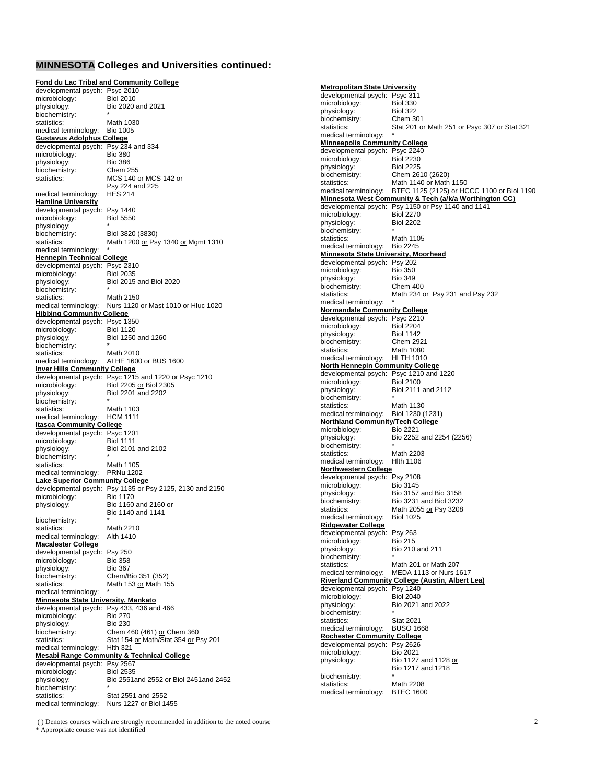# **MINNESOTA Colleges and Universities continued:**

|                                                   | <b>Fond du Lac Tribal and Community College</b>                   |
|---------------------------------------------------|-------------------------------------------------------------------|
| developmental psych: Psyc 2010                    |                                                                   |
| microbiology:                                     | <b>Biol 2010</b>                                                  |
| physiology:                                       | Bio 2020 and 2021                                                 |
| biochemistry:<br>statistics:                      | Math 1030                                                         |
| medical terminology:                              | <b>Bio 1005</b>                                                   |
| <b>Gustavus Adolphus College</b>                  |                                                                   |
| developmental psych: Psy 234 and 334              |                                                                   |
| microbiology:                                     | <b>Bio 380</b>                                                    |
| physiology:                                       | <b>Bio 386</b>                                                    |
| biochemistry:                                     | <b>Chem 255</b>                                                   |
| statistics:                                       | MCS 140 <u>or</u> MCS 142 <u>or</u>                               |
|                                                   | Psy 224 and 225                                                   |
| medical terminology:                              | <b>HES 214</b>                                                    |
| <b>Hamline University</b>                         |                                                                   |
| developmental psych:                              | Psy 1440                                                          |
| microbiology:                                     | <b>Biol 5550</b>                                                  |
| physiology:                                       |                                                                   |
| biochemistry:                                     | Biol 3820 (3830)                                                  |
| statistics:<br>medical terminology:               | Math 1200 or Psy 1340 or Mgmt 1310                                |
| <b>Hennepin Technical College</b>                 |                                                                   |
| developmental psych: Psyc 2310                    |                                                                   |
| microbiology:                                     | <b>Biol 2035</b>                                                  |
| physiology:                                       | Biol 2015 and Biol 2020                                           |
| biochemistry:                                     |                                                                   |
| statistics:                                       | Math 2150                                                         |
| medical terminology:                              | Nurs 1120 or Mast 1010 or Hluc 1020                               |
| <b>Hibbing Community College</b>                  |                                                                   |
| developmental psych: Psyc 1350                    |                                                                   |
| microbiology:                                     | <b>Biol 1120</b>                                                  |
| physiology:                                       | Biol 1250 and 1260                                                |
| biochemistry:                                     |                                                                   |
| statistics:                                       | Math 2010                                                         |
| medical terminology:                              | ALHE 1600 or BUS 1600                                             |
| <b>Inver Hills Community College</b>              | developmental psych: Psyc 1215 and 1220 or Psyc 1210              |
| microbiology:                                     | Biol 2205 or Biol 2305                                            |
| physiology:                                       | Biol 2201 and 2202                                                |
| biochemistry:                                     |                                                                   |
| statistics:                                       | Math 1103                                                         |
| medical terminology:                              | HCM 1111                                                          |
|                                                   |                                                                   |
| <b>Itasca Community College</b>                   |                                                                   |
| developmental psych:                              | Psyc 1201                                                         |
| microbiology:                                     | <b>Biol 1111</b>                                                  |
| physiology:                                       | Biol 2101 and 2102                                                |
| biochemistry:                                     |                                                                   |
| statistics:                                       | Math 1105                                                         |
| medical terminology:                              | <b>PRNu 1202</b>                                                  |
| <b>Lake Superior Community College</b>            |                                                                   |
|                                                   | developmental psych: Psy 1135 or Psy 2125, 2130 and 2150          |
| microbiology:                                     | <b>Bio 1170</b>                                                   |
| physiology:                                       | Bio 1160 and 2160 <u>or</u>                                       |
|                                                   | Bio 1140 and 1141                                                 |
| biochemistry:                                     | Math 2210                                                         |
| statistics:                                       | Alth 1410                                                         |
| medical terminology:                              |                                                                   |
| <b>Macalester College</b><br>developmental psych: | <b>Psy 250</b>                                                    |
| microbiology:                                     | <b>Bio 358</b>                                                    |
| physiology:                                       | <b>Bio 367</b>                                                    |
| biochemistry:                                     | Chem/Bio 351 (352)                                                |
| statistics:                                       | Math 153 or Math 155                                              |
| medical terminology:                              |                                                                   |
| <b>Minnesota State University, Mankato</b>        |                                                                   |
| developmental psych:                              | Psy 433, 436 and 466                                              |
| microbiology:                                     | <b>Bio 270</b>                                                    |
| physiology:                                       | <b>Bio 230</b>                                                    |
| biochemistry:                                     | Chem 460 (461) or Chem 360                                        |
| statistics:                                       | Stat 154 or Math/Stat 354 or Psy 201<br><b>Hlth 321</b>           |
| medical terminology:                              |                                                                   |
|                                                   | <b>Mesabi Range Community &amp; Technical College</b><br>Psy 2567 |
| developmental psych:<br>microbiology:             | <b>Biol 2535</b>                                                  |
| physiology:                                       | Bio 2551and 2552 or Biol 2451and 2452                             |
| biochemistry:                                     |                                                                   |
| statistics:<br>medical terminology:               | Stat 2551 and 2552<br>Nurs 1227 <u>or</u> Biol 1455               |

**Metropolitan State University** developmental psych: Psyc 311 microbiology: physiology: Biol 322<br>biochemistry: Chem 301 biochemistry: statistics: Stat 201 or Math 251 or Psyc 307 or Stat 321 medical terminology: **Minneapolis Community College** developmental psych: Psyc 2240<br>microbiology: Biol 2230 microbiology: Biol 2230<br>physiology: Biol 2225 physiology:<br>biochemistry: biochemistry: Chem 2610 (2620)<br>statistics: Math 1140 or Math Math 1140 or Math 1150 medical terminology: BTEC 1125 (2125) or HCCC 1100 or Biol 1190 **Minnesota West Community & Tech (a/k/a Worthington CC)** developmental psych: Psy 1150 or Psy 1140 and 1141<br>microbiology: Biol 2270 microbiology: Biol 2270<br>physiology: Biol 2202 physiology: Biol 2202 biochemistry: \* statistics: Math 1105 medical terminology: Bio 2245 **Minnesota State University, Moorhead** developmental psych: Psy 202 microbiology: Bio 350 physiology: Bio 349<br>biochemistry: Chem 4 biochemistry: Chem 400<br>statistics: Math 234 c Math 234 or Psy 231 and Psy 232 medical terminology: **Normandale Community College** developmental psych: Psyc 2210<br>microbiology: Biol 2204 microbiology: Biol 2204<br>
physiology: Biol 1142 physiology: Biol 1142<br>biochemistry: Chem 2921 biochemistry:<br>statistics: **Math 1080** medical terminology: HLTH 1010 **North Hennepin Community College** developmental psych: Psyc 1210 and 1220<br>microbiology: Biol 2100 microbiology:<br>physiology: Biol 2111 and 2112 biochemistry: \* statistics: medical terminology: Biol 1230 (1231) **Northland Community/Tech College** microbiology: Bio 2221 physiology: Bio 2252 and 2254 (2256) biochemistry: statistics: Math 2203 medical terminology: Hlth 1106 **Northwestern College** developmental psych: Psy 2108<br>microbiology: Bio 3145 microbiology:<br>physiology: physiology: Bio 3157 and Bio 3158<br>biochemistry: Bio 3231 and Biol 3232 biochemistry:<br>
Bio 3231 and Biol 3232<br>
statistics:<br>
Math 2055 or Psy 3208 Math 2055 or Psy 3208<br>Biol 1025 medical terminology: **Ridgewater College** developmental psych: Psy 263 microbiology: Bio 215<br>physiology: Bio 210 Bio 210 and 211 biochemistry:<br>
statistics: Math 201 or Math 207 statistics: Math 201 or Math 207 medical terminology: MEDA 1113 <u>or</u> Nurs 1617<br>**Riverland Community College (Austin, Albert Lea)** developmental psych: Psy 1240<br>microbiology: Biol 2040 microbiology: physiology: Bio 2021 and 2022 biochemistry:<br>statistics: Stat 2021 medical terminology: BUSO 1668 **Rochester Community College** developmental psych: Psy 2626<br>microbiology: Bio 2021 microbiology: physiology: Bio 1127 and 1128 or Bio 1217 and 1218 biochemistry:<br>statistics: Math 2208 medical terminology: BTEC 1600

( ) Denotes courses which are strongly recommended in addition to the noted course 2 \* Appropriate course was not identified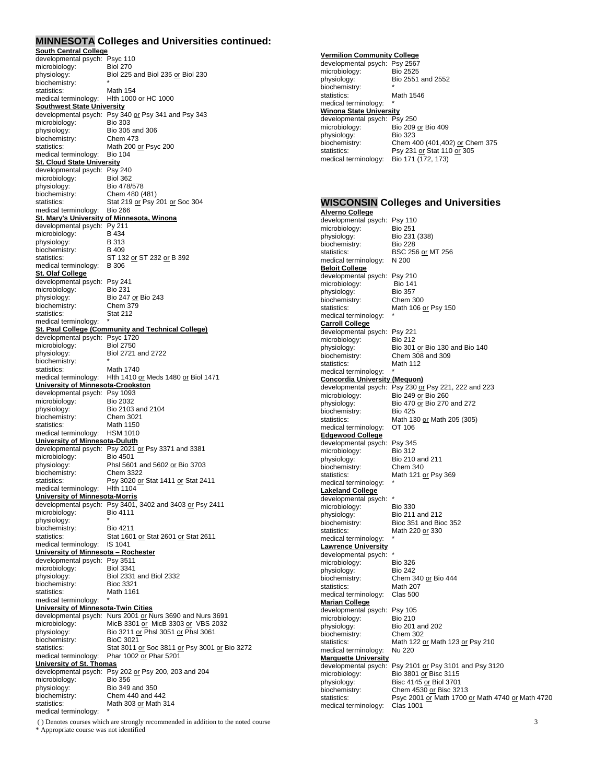### **MINNESOTA Colleges and Universities continued:**

| <b>South Central College</b>                                |                                                                       |
|-------------------------------------------------------------|-----------------------------------------------------------------------|
| developmental psych: Psyc 110                               |                                                                       |
| microbiology:                                               | <b>Biol 270</b>                                                       |
| physiology:                                                 | Biol 225 and Biol 235 or Biol 230                                     |
| biochemistry:<br>statistics:                                | Math 154                                                              |
| medical terminology:                                        | Hith 1000 or HC 1000                                                  |
| <b>Southwest State University</b>                           |                                                                       |
| developmental psych:                                        | Psy 340 or Psy 341 and Psy 343                                        |
| microbiology:                                               | <b>Bio 303</b>                                                        |
| physiology:                                                 | Bio 305 and 306                                                       |
| biochemistry:                                               | Chem 473                                                              |
| statistics:                                                 | Math 200 or Psyc 200<br><b>Bio 104</b>                                |
| medical terminology:<br><u>St. Cloud State University</u>   |                                                                       |
| developmental psych: Psy 240                                |                                                                       |
| microbiology:                                               | <b>Biol 362</b>                                                       |
| physiology:                                                 | Bio 478/578                                                           |
| biochemistry:                                               | Chem 480 (481)                                                        |
| statistics:                                                 | Stat 219 or Psy 201 or Soc 304                                        |
| medical terminology:                                        | <b>Bio 266</b>                                                        |
|                                                             | <b>St. Mary's University of Minnesota, Winona</b>                     |
| developmental psych: Py 211<br>microbiology:                | B 434                                                                 |
| physiology:                                                 | <b>B313</b>                                                           |
| biochemistry:                                               | B 409                                                                 |
| statistics:                                                 | ST 132 or ST 232 or B 392                                             |
| medical terminology:                                        | <b>B</b> 306                                                          |
| <u>St. Olaf College</u>                                     |                                                                       |
| developmental psych:                                        | <b>Psy 241</b>                                                        |
| microbiology:                                               | <b>Bio 231</b>                                                        |
| physiology:<br>biochemistry:                                | Bio 247 or Bio 243<br>Chem 379                                        |
| statistics:                                                 | <b>Stat 212</b>                                                       |
| medical terminology:                                        |                                                                       |
|                                                             | St. Paul College (Community and Technical College)                    |
| developmental psych:                                        | <b>Psyc 1720</b>                                                      |
| microbiology:                                               | <b>Biol 2750</b>                                                      |
| physiology:                                                 | Biol 2721 and 2722                                                    |
| biochemistry:                                               |                                                                       |
| statistics:<br>medical terminology:                         | Math 1740                                                             |
| <u> University of Minnesota-Crookston</u>                   | Hlth 1410 <u>or</u> Meds 1480 <u>or</u> Biol 1471                     |
| developmental psych: Psy 1093                               |                                                                       |
| microbiology:                                               | <b>Bio 2032</b>                                                       |
| physiology:                                                 | Bio 2103 and 2104                                                     |
| biochemistry:                                               | Chem 3021                                                             |
| statistics:                                                 | Math 1150                                                             |
| medical terminology:                                        | <b>HSM 1010</b>                                                       |
| University of Minnesota-Duluth                              |                                                                       |
| microbiology:                                               | developmental psych: Psy 2021 or Psy 3371 and 3381<br><b>Bio 4501</b> |
| physiology:                                                 | Phsl 5601 and 5602 or Bio 3703                                        |
| biochemistry:                                               | Chem 3322                                                             |
| statistics:                                                 | Psy 3020 or Stat 1411 or Stat 2411                                    |
| medical terminology:                                        | <b>Hith 1104</b>                                                      |
| <u>University of Minnesota-Morris</u>                       |                                                                       |
|                                                             | developmental psych: Psy 3401, 3402 and 3403 or Psy 2411              |
| microbiology:                                               | <b>Bio 4111</b>                                                       |
| physiology:                                                 | <b>Bio 4211</b>                                                       |
| biochemistry:<br>statistics:                                | Stat 1601 or Stat 2601 or Stat 2611                                   |
| medical terminology:                                        | <b>IS 1041</b>                                                        |
| <u> University of Minnesota – Rochester</u>                 |                                                                       |
| developmental psych:                                        | Psy 3511                                                              |
| microbiology:                                               | <b>Biol 3341</b>                                                      |
| physiology:                                                 | Biol 2331 and Biol 2332                                               |
| biochemistry:                                               | <b>Bioc 3321</b>                                                      |
| statistics:                                                 | Math 1161                                                             |
| medical terminology:<br>University of Minnesota-Twin Cities |                                                                       |
| developmental psych:                                        | Nurs 2001 or Nurs 3690 and Nurs 3691                                  |
| microbiology:                                               | MicB 3301 or MicB 3303 or VBS 2032                                    |
| physiology:                                                 | Bio 3211 <u>or</u> Phsl 3051 <u>or</u> Phsl 3061                      |
| biochemistry:                                               | <b>BioC 3021</b>                                                      |
| statistics:                                                 | Stat 3011 or Soc 3811 or Psy 3001 or Bio 3272                         |
| medical terminology:                                        | Phar 1002 or Phar 5201                                                |
| University of St. Thomas                                    |                                                                       |
| developmental psych:<br>microbiology:                       | Psy 202 or Psy 200, 203 and 204<br><b>Bio 356</b>                     |
| physiology:                                                 | Bio 349 and 350                                                       |
| biochemistry:                                               | Chem 440 and 442                                                      |
| statistics:                                                 | Math 303 or Math 314                                                  |
| medical terminology:                                        |                                                                       |

( ) Denotes courses which are strongly recommended in addition to the noted course 3 \* Appropriate course was not identified

#### **Vermilion Community College**

| developmental psych:           | Psy 2567                       |  |
|--------------------------------|--------------------------------|--|
| microbiology:                  | <b>Bio 2525</b>                |  |
| physiology:                    | Bio 2551 and 2552              |  |
| biochemistry:                  |                                |  |
| statistics:                    | Math 1546                      |  |
| medical terminology:           |                                |  |
| <b>Winona State University</b> |                                |  |
| developmental psych: Psy 250   |                                |  |
| microbiology:                  | Bio 209 or Bio 409             |  |
| physiology:                    | <b>Bio 323</b>                 |  |
| biochemistry:                  | Chem 400 (401,402) or Chem 375 |  |
| statistics:                    | Psy 231 or Stat 110 or 305     |  |
| medical terminology:           | Bio 171 (172, 173)             |  |

#### **WISCONSIN Colleges and Universities Alverno College**

developmental psych: Psy 110 microbiology: Bio 251 physiology: Bio 231 (338) biochemistry: Bio 228 statistics: BSC 256 or MT 256 medical terminology: N 200 **Beloit College**  developmental psych: Psy 210<br>microbiology: Bio 141 microbiology: Bio 141<br>physiology: Bio 357 physiology: Bio 357<br>biochemistry: Chem 300 biochemistry:<br>statistics: Math 106 or Psy 150 medical terminology: **Carroll College**  developmental psych: Psy 221<br>microbiology: Bio 212 microbiology:<br>physiology: physiology: Bio 301 <u>or</u> Bio 130 and Bio 140<br>biochemistry: Chem 308 and 309 Chem  $308$  and 309 statistics: Math 112 medical terminology: **Concordia University (Mequon)** developmental psych: Psy 230 or Psy 221, 222 and 223 microbiology: Bio 249 or Bio 260 physiology: Bio 470 <u>or</u> Bio 270 and 272 biochemistry: Bio 425 statistics: Math 130 or Math 205 (305) medical terminology: OT 106 **Edgewood College** developmental psych: Psy 345<br>microbiology: Bio 312 microbiology:<br>physiology: Bio 210 and 211<br>Chem 340 biochemistry:<br>statistics: Math 121 or Psy 369 medical terminology: **Lakeland College**  developmental psych: \*<br>microbiology: Bio 330 microbiology:<br>physiology: physiology:<br>biochemistry: Bioc 351 and Bio biochemistry: Bioc 351 and Bioc 352<br>statistics: Math 220 or 330 Math 220 or 330 medical terminology: **Lawrence University**  developmental psych: \*<br>microbiology: Bio 326 microbiology: physiology: Bio 242 biochemistry: Chem 340 or Bio 444<br>statistics: Math 207 Math 207 medical terminology: Clas 500 **Marian College**  developmental psych: Psy 105<br>microbiology: Bio 210 microbiology:<br>physiology: Bio 201 and 202<br>Chem 302 biochemistry:<br>statistics: Math 122 or Math 123 or Psy 210 medical terminology: Nu 220 **Marquette University**  developmental psych: Psy 2101 or Psy 3101 and Psy 3120 microbiology: Bio 3801 or Bisc 3115 physiology: Bisc 4145 or Biol 3701<br>biochemistry: Chem 4530 or Bisc 32 biochemistry: Chem 4530 or Bisc 3213 statistics: Psyc 2001 or Math 1700 or Math 4740 or Math 4720 medical terminology: Clas 1001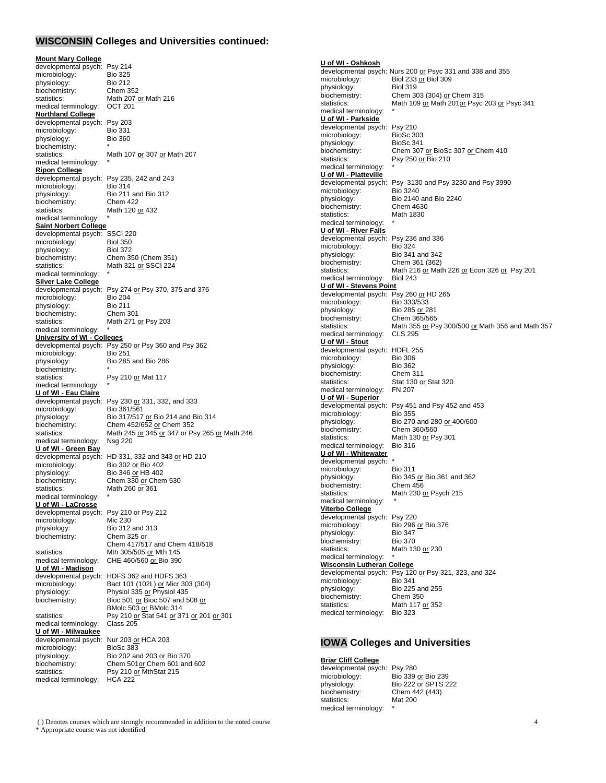### **WISCONSIN Colleges and Universities continued:**

#### **Mount Mary College**

developmental psych: Psy 214<br>microbiology: Bio 325 microbiology: physiology: Bio 212<br>biochemistry: Chem 352 biochemistry:<br>statistics: Math 207 or Math 216<br>OCT 201 medical terminology: **Northland College** developmental psych: Psy 203<br>microbiology: Bio 331 microbiology: Bio 331<br>physiology: Bio 360 physiology: biochemistry:<br>statistics: statistics: Math 107 **o**r 307 or Math 207 medical terminology: **Ripon College** developmental psych: Psy 235, 242 and 243<br>microbiology: Bio 314 microbiology:<br>physiology: Bio 211 and Bio 312 biochemistry: Chem 422 statistics: Math 120 or 432 medical terminology: **Saint Norbert College** developmental psych: SSCI 220 microbiology: Biol 350<br>physiology: Biol 372 physiology:<br>biochemistry: Chem 350 (Chem 351) statistics: Math 321 or SSCI 224 medical terminology: **Silver Lake College** developmental psych: Psy 274 or Psy 370, 375 and 376 microbiology: Bio 204 microbiology: Bio 204<br>physiology: Bio 211 physiology: Bio 211<br>biochemistry: Chem 301 biochemistry: statistics: Math 271 or Psy 203 medical terminology: **University of WI - Colleges** developmental psych: Psy 250 or Psy 360 and Psy 362<br>microbiology<br>Bio 251 microbiology: physiology: Bio 285 and Bio 286  $biochemistry:$ statistics: Psy 210 or Mat 117 medical terminology: **U of WI - Eau Claire** developmental psych: Psy 230 or 331, 332, and 333 microbiology: Bio 361/561<br>physiology: Bio 317/517 physiology: Bio 317/517 or Bio 214 and Bio 314<br>biochemistry: Chem 452/652 or Chem 352 biochemistry: Chem 452/652 or Chem 352<br>statistics: Math 245 or 345 or 347 or Ps Math 245 or 345 or 347 or Psy 265 or Math 246<br>Nsg 220 medical terminology: **U of WI - Green Bay** developmental psych: HD 331, 332 and 343  $or$  HD 210 microbiology: Bio 302 or Bio 402</u> Bio 302 or Bio 402 physiology: Bio 346 or HB 402 biochemistry: Chem 330 or Chem 530<br>statistics: Math 260 or 361 Math 260 or 361 medical terminology: **U of WI - LaCrosse** developmental psych: Psy 210 or Psy 212<br>microbiology: Mic 230 microbiology: physiology: Bio 312 and 313 biochemistry: Chem 325 or Chem  $417/517$  and Chem  $418/518$ statistics: Mth 305/505 or Mth 145<br>medical terminology: CHE 460/560 or Bio 390 CHE 460/560 or Bio 390 **U of WI - Madison** developmental psych: HDFS 362 and HDFS 363<br>microbiology: Bact 101 (102L) or Micr 30 Bact 101 (102L) or Micr 303 (304) physiology: Physiol 335 or Physiol 435 biochemistry: Bioc 501 or Bioc 507 and 508 or BMolc 503 or BMolc 314 statistics: Psy 210 or Stat 541 or 371 or 201 or 301<br>medical terminology: Class 205 medical terminology: **U of WI - Milwaukee** developmental psych: Nur 203 or HCA 203<br>microbiology: BioSc 383 microbiology: physiology: Bio 202 and 203 or Bio 370 biochemistry: Chem 501or Chem 601 and 602 statistics: Psy 210 or MthStat 215 medical terminology: HCA 222

**U of WI - Oshkosh** developmental psych: Nurs 200 or Psyc 331 and 338 and 355<br>microbiology: Biol 233 or Biol 309 Biol 233  $\overline{or}$  Biol 309<br>Biol 319 physiology: biochemistry: Chem 303 (304) or Chem 315 statistics: Math 109 or Math 201 or Psyc 203 or Psyc 341 medical terminology: **U of WI - Parkside** developmental psych: Psy 210<br>microbiology: BioSc 303 microbiology: BioSc 303<br>physiology: BioSc 341 physiology:<br>biochemistry: Chem 307 or BioSc 307 or Chem 410 statistics: Psy 250 or Bio 210 medical terminology: **U of WI - Platteville** developmental psych: Psy 3130 and Psy 3230 and Psy 3990<br>microbiology: Bio 3240 microbiology:<br>physiology: Bio 2140 and Bio 2240<br>Chem 4630 biochemistry: statistics: Math 1830 medical terminology: **U of WI - River Falls** developmental psych: Psy 236 and 336<br>microbiology: Bio 324 microbiology:<br>physiology: physiology: Bio 341 and 342 biochemistry: Chem 361 (362) statistics: Math 216 or Math 226 or Econ 326 or Psy 201 medical terminology: Biol 243 **U of WI - Stevens Point** developmental psych: Psy 260 or HD 265 microbiology: Bio 333/533 physiology: Bio 285 or 281<br>biochemistry: Chem 365/565 biochemistry: Chem 365/565<br>statistics: Math 355 or Ps Math 355 or Psy 300/500 or Math 356 and Math 357 CLS 295 medical terminology: **U of WI - Stout** developmental psych: HDFL 255<br>microbiology: Bio 306 microbiology: Bio 306<br>physiology: Bio 362 physiology: Bio 362<br>biochemistry: Chem 311 biochemistry:<br>statistics: Stat 130 or Stat 320<br>FN 207 medical terminology: **U of WI - Superior** developmental psych: Psy 451 and Psy 452 and 453<br>microbiology: Bio 355 microbiology: physiology: Bio 270 and 280 or 400/600 biochemistry: Chem 360/560 statistics: Math 130 or Psy 301<br>medical terminology: Bio 316 medical terminology: **U of WI - Whitewater** developmental psych: \*<br>microbiology: Bio 311 microbiology:<br>physiology: Bio 345 or Bio 361 and 362 biochemistry: Chem 456<br>statistics: Math 230 Math 230 or Psych 215 medical terminology: **Viterbo College** developmental psych: Psy 220<br>microbiology: Bio 296 Bio 296 or Bio 376<br>Bio 347 physiology: biochemistry: Bio 370 statistics: Math 130 or 230 medical terminology: **Wisconsin Lutheran College** developmental psych: Psy 120 or Psy 321, 323, and 324 microbiology: Bio  $341$ microbiology: physiology: Bio 225 and 255 biochemistry: Chem 350 statistics: Math 117 or 352 medical terminology: Bio 323

## **IOWA Colleges and Universities**

#### **Briar Cliff College**

developmental psych: Psy 280<br>microbiology: Bio 339 microbiology: Bio 339 or Bio 239<br>physiology: Bio 222 or SPTS 2 biochemistry: Chem 442 (443)<br>statistics: Mat 200 statistics<sup>.</sup> medical terminology:

**Bio 222 or SPTS 222** 

( ) Denotes courses which are strongly recommended in addition to the noted course 4 \* Appropriate course was not identified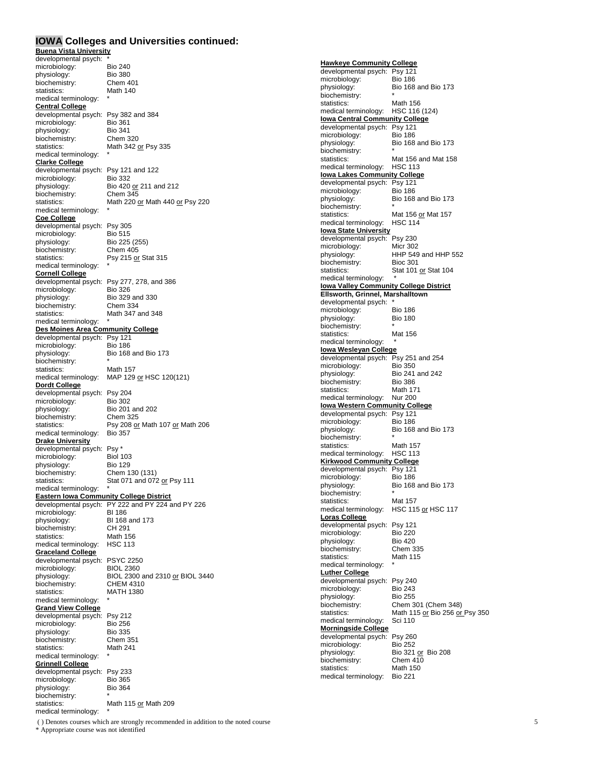#### **IOWA Colleges and Universities continued:**

**Buena Vista University** developmental psych: \*<br>microbiology: Bio 240 microbiology:<br>
blue blue Bio 240<br>
Bio 380 physiology: biochemistry: Chem 401<br>statistics: Math 140 statistics: medical terminology: **Central College** developmental psych: Psy 382 and 384 microbiology: Bio 361<br>physiology: Bio 341 physiology: Bio 341<br>biochemistry: Chem 320 biochemistry:<br>statistics: Math 342 or Psy 335 medical terminology: **Clarke College**  developmental psych: Psy 121 and 122<br>microbiology: Bio 332 microbiology:<br>physiology: Bio 420 or 211 and 212<br>Chem 345 biochemistry: statistics: Math 220 or Math 440 or Psy 220 medical terminology: **Coe College**  developmental psych: Psy 305 microbiology: Bio 515 physiology:<br>
biochemistry: Chem 405 biochemistry:<br>statistics: Psy 215 or Stat 315 medical terminology: **Cornell College** developmental psych: Psy 277, 278, and 386<br>microbiology: Bio 326 microbiology:<br>physiology: Bio 329 and 330<br>Chem 334 biochemistry:<br>statistics: Math 347 and 348 medical terminology: **Des Moines Area Community College** developmental psych: Psy 121 microbiology: Bio 186 physiology: Bio 168 and Bio 173 biochemistry:<br>statistics: Math 157 medical terminology: MAP 129 or HSC 120(121) **Dordt College** developmental psych: Psy 204<br>microbiology: Bio 302 microbiology: physiology: Bio 201 and 202<br>biochemistry: Chem 325 biochemistry:<br>statistics: Psy 208 or Math 107 or Math 206<br>Bio 357 medical terminology: **Drake University**  developmental psych: Psy \*<br>microbiology: Biol 103 microbiology: Biol 103<br>
physiology: Bio 129 physiology:<br>biochemistry: biochemistry: Chem 130 (131)<br>statistics: Stat 071 and 072 Stat 071 and 072 or Psy 111 medical terminology: **Eastern Iowa Community College District** developmental psych: PY 222 and PY 224 and PY 226<br>microbiology: BI 186 microbiology:<br>physiology: BI 168 and 173<br>CH 291 biochemistry: statistics: Math 156 medical terminology: HSC 113 **Graceland College** developmental psych: PSYC 2250 microbiology: BIOL 2360<br>physiology: BIOL 2300 BIOL 2300 and 2310 or BIOL 3440<br>CHEM 4310 biochemistry: statistics: MATH 1380 medical terminology: **Grand View College**  developmental psych: Psy 212<br>microbiology: Bio 256 microbiology: Bio 256<br>physiology: Bio 335 physiology: Bio 335<br>biochemistry: Chem 351 biochemistry: Chem 35<br>statistics: Math 241 statistics: medical terminology: **Grinnell College** developmental psych: Psy 233<br>microbiology: Bio 365 microbiology: physiology: Bio 364 biochemistry: \* statistics: Math 115 or Math 209

**Hawkeye Community College**  developmental psych: Psy 121 microbiology:<br>physiology: Bio 168 and Bio 173 biochemistry: statistics: Math 156 medical terminology: HSC 116 (124) **Iowa Central Community College** developmental psych: Psy 121<br>microbiology: Bio 186 microbiology:<br>physiology: Bio 168 and Bio 173 biochemistry: statistics: Mat 156 and Mat 158 medical terminology: HSC 113 **Iowa Lakes Community College**  developmental psych: Psy 121<br>microbiology: Bio 186 microbiology:<br>physiology: Bio 168 and Bio 173 biochemistry:<br>statistics: Mat 156 or Mat 157 medical terminology: HSC 114 **Iowa State University**  developmental psych: Psy 230 microbiology: Micr 302<br>physiology: HHP 549 HHP 549 and HHP 552<br>Bioc 301 biochemistry: statistics: Stat 101 or Stat 104 medical terminology: **Iowa Valley Community College District Ellsworth, Grinnel, Marshalltown** developmental psych: \*<br>microbiology: Bio 186 microbiology: Bio 186<br>
physiology: Bio 180 physiology: biochemistry: statistics: Mat 156 medical terminology: **Iowa Wesleyan College** developmental psych: Psy 251 and 254<br>microbiology: Bio 350 microbiology:<br>physiology: Bio 241 and 242<br>Bio 386 externistry:<br>
biochemistry:<br>
Statistics:<br>
Math 171 statistics: Math 171 medical terminology: Nur 200 **Iowa Western Community College** developmental psych: Psy 121 microbiology: Bio 186 physiology: Bio 168 and Bio 173 biochemistry:<br>statistics: Math 157 medical terminology: HSC 113 **Kirkwood Community College** developmental psych: Psy 121<br>microbiology: Bio 186 microbiology:<br>physiology: Bio 168 and Bio 173 biochemistry:<br>
statistics: Mat 157 statistics: medical terminology: HSC 115 or HSC 117 **Loras College** developmental psych: Psy 121<br>microbiology: Bio 220 microbiology: Bio 220<br>
physiology: Bio 420 physiology: Bio 420<br>biochemistry: Chem 335 biochemistry: Chem 335<br>statistics: Math 115 statistics: medical terminology: **Luther College** developmental psych: Psy 240<br>microbiology: Bio 243 microbiology: Bio 243<br>physiology: Bio 255 physiology: biochemistry: Chem 301 (Chem 348)<br>statistics: Math 115 or Bio 256 or Math 115 or Bio 256 or Psy 350<br>Sci 110 medical terminology: **Morningside College** developmental psych: Psy 260<br>microbiology: Bio 252 microbiology:<br>physiology: Bio 321 or Bio 208 biochemistry: Chem 410<br>statistics: Math 150 statistics: medical terminology: Bio 221

( ) Denotes courses which are strongly recommended in addition to the noted course 5 \* Appropriate course was not identified

medical terminology: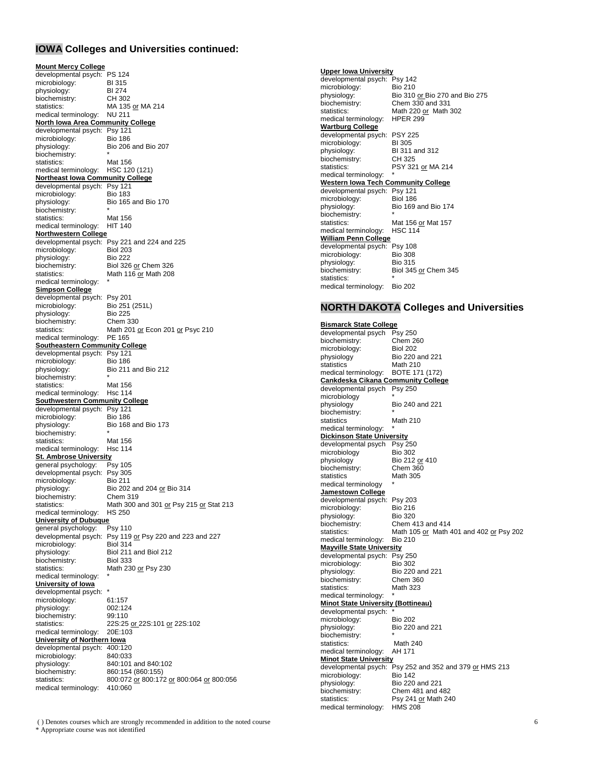# **IOWA Colleges and Universities continued:**

**Mount Mercy College**  developmental psych: PS 124 microbiology: BI 315<br>physiology: BI 274 physiology: BI 274<br>biochemistry: CH 302 biochemistry:<br>statistics: MA 135 or MA 214 medical terminology: NU 211 **North Iowa Area Community College** developmental psych: Psy 121<br>microbiology: Bio 186 microbiology:<br>physiology: Bio 206 and Bio 207 biochemistry:<br>statistics: Mat 156 statistics: medical terminology: HSC 120 (121) **Northeast Iowa Community College**  developmental psych: Psy 121 microbiology: Bio 183 physiology: Bio 165 and Bio 170 biochemistry:<br>statistics: Mat 156 statistics: medical terminology: HIT 140 **Northwestern College** developmental psych: Psy 221 and 224 and 225<br>microbiology: Biol 203 microbiology: Biol 203<br>physiology: Bio 222 physiology:<br>biochemistry: Biol 326 or Chem 326 statistics: Math 116 or Math 208 medical terminology: **Simpson College**  developmental psych: Psy 201<br>microbiology: Bio 251 Bio 251 (251L)<br>Bio 225 physiology: Bio 225<br>biochemistry: Chem 330 biochemistry: statistics: Math 201 or Econ 201 or Psyc 210 medical terminology: PE 165 **Southeastern Community College** developmental psych: Psy 121 microbiology: Bio 186<br>physiology: Bio 211 physiology: Bio 211 and Bio 212 biochemistry: statistics: Mat 156 medical terminology: Hsc 114 **Southwestern Community College** developmental psych: Psy 121<br>microbiology: Bio 186 microbiology:<br>physiology: Bio 168 and Bio 173 biochemistry:<br>statistics: Mat 156<br>Hsc 114 medical terminology: **St. Ambrose University**<br>general psychology: Psy 105 general psychology: developmental psych: Psy 305<br>microbiology: Bio 211 microbiology:<br>physiology: Bio 202 and 204 or Bio 314<br>Chem 319 biochemistry:<br>statistics: Math 300 and 301 or Psy 215 or Stat 213<br>HS 250 medical terminology: **University of Dubuque**<br>
deneral psychology: Psy 110 general psychology: developmental psych: Psy 119 or Psy 220 and 223 and 227 microbiology: Biol 314<br>physiology: Biol 211 Biol 211 and Biol 212<br>Biol 333 biochemistry: statistics: Math 230 or Psy 230 medical terminology: **University of Iowa**  developmental psych: \*<br>microbiology: 61:157 microbiology: 61:157<br>physiology: 002:124 physiology: 002:124<br>biochemistry: 99:110 biochemistry:<br>statistics: 22S:25 <u>or </u>22S:101 <u>or</u> 22S:102<br>20E:103 medical terminology: **University of Northern Iowa** developmental psych: 400:120<br>microbiology: 840:033 microbiology:<br>physiology: 840:101 and 840:102 biochemistry: 860:154 (860:155)<br>statistics: 800:072 or 800:17 statistics: 800:072 or 800:172 or 800:064 or 800:056 medical terminology: 410:060

( ) Denotes courses which are strongly recommended in addition to the noted course 6 \* Appropriate course was not identified

**Upper Iowa University** developmental psych: Psy 142 microbiology: Bio 210<br>physiology: Bio 310 Bio 310 or Bio 270 and Bio 275 biochemistry: Chem 330 and 331 statistics: Math 220 or Math 302<br>medical terminology: HPER 299 medical terminology: **Wartburg College**  developmental psych: PSY 225<br>microbiology: BL305 microbiology:<br>physiology: BI 311 and 312<br>CH 325 biochemistry:<br>statistics: PSY 321 or MA 214 medical terminology: **Western Iowa Tech Community College** developmental psych: Psy 121<br>microbiology: Biol 186 microbiology:<br>physiology: Bio 169 and Bio 174 biochemistry:<br>statistics: Mat 156 or Mat 157<br>HSC 114 medical terminology: **William Penn College**  developmental psych: Psy 108 microbiology: Bio 308 physiology: Bio 315 biochemistry: Biol 345 or Chem 345 statistics: medical terminology: Bio 202

## **NORTH DAKOTA Colleges and Universities**

**Bismarck State College** developmental psych Psy 250<br>biochemistry: Chem 260 biochemistry: microbiology: Biol 202<br>physiology Bio 220 physiology Bio 220 and 221<br>statistics Math 210 Math 210<br>BOTE 171 (172) medical terminology: **Cankdeska Cikana Community College**  developmental psych Psy 250 microbiology<br>physiology Bio 240 and 221 biochemistry:<br>statistics Math 210 medical terminology: **Dickinson State University** developmental psych Psy 250 microbiology Bio 302<br>physiology Bio 212 Bio 212 or 410 biochemistry: Chem 360 statistics Math 305 medical terminology **Jamestown College**  developmental psych: Psy 203 microbiology: Bio 216<br>physiology: Bio 320 physiology: biochemistry: Chem 413 and 414<br>statistics: Math 105 or Math Math 105 or Math 401 and 402 or Psy 202<br>Bio 210 medical terminology: **Mayville State University**  developmental psych: Psy 250<br>microbiology: Bio 302 microbiology:<br>physiology: Bio 220 and 221<br>Chem 360 biochemistry: Chem 360<br>statistics: Math 323 statistics: medical terminology: **Minot State University (Bottineau)** developmental psych: \*<br>microbiology: Bio 202 microbiology:<br>physiology: Bio 220 and 221 biochemistry: statistics: Math 240 medical terminology: AH 171 **Minot State University**  developmental psych: Psy 252 and 352 and 379 or HMS 213 microbiology: Bio 142<br>physiology: Bio 220 physiology: Bio 220 and 221<br>biochemistry: Chem 481 and 4 biochemistry: Chem 481 and 482<br>statistics: Psy 241 or Math 24 Psy 241 or Math 240 medical terminology: HMS 208